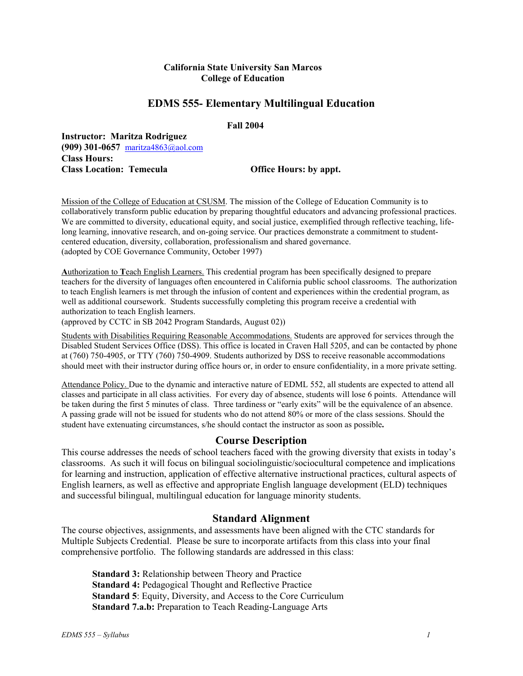#### **California State University San Marcos College of Education**

### **EDMS 555- Elementary Multilingual Education**

 **Fall 2004** 

**Instructor: Maritza Rodriguez (909) 301-0657** maritza4863@aol.com **Class Hours: Class Location: Temecula Office Hours: by appt.** 

Mission of the College of Education at CSUSM. The mission of the College of Education Community is to collaboratively transform public education by preparing thoughtful educators and advancing professional practices. We are committed to diversity, educational equity, and social justice, exemplified through reflective teaching, lifelong learning, innovative research, and on-going service. Our practices demonstrate a commitment to studentcentered education, diversity, collaboration, professionalism and shared governance. (adopted by COE Governance Community, October 1997)

**A**uthorization to **T**each English Learners. This credential program has been specifically designed to prepare teachers for the diversity of languages often encountered in California public school classrooms. The authorization to teach English learners is met through the infusion of content and experiences within the credential program, as well as additional coursework. Students successfully completing this program receive a credential with authorization to teach English learners.

(approved by CCTC in SB 2042 Program Standards, August 02))

Students with Disabilities Requiring Reasonable Accommodations. Students are approved for services through the Disabled Student Services Office (DSS). This office is located in Craven Hall 5205, and can be contacted by phone at (760) 750-4905, or TTY (760) 750-4909. Students authorized by DSS to receive reasonable accommodations should meet with their instructor during office hours or, in order to ensure confidentiality, in a more private setting.

Attendance Policy. Due to the dynamic and interactive nature of EDML 552, all students are expected to attend all classes and participate in all class activities. For every day of absence, students will lose 6 points. Attendance will be taken during the first 5 minutes of class. Three tardiness or "early exits" will be the equivalence of an absence. A passing grade will not be issued for students who do not attend 80% or more of the class sessions. Should the student have extenuating circumstances, s/he should contact the instructor as soon as possible**.**

### **Course Description**

This course addresses the needs of school teachers faced with the growing diversity that exists in today's classrooms. As such it will focus on bilingual sociolinguistic/sociocultural competence and implications for learning and instruction, application of effective alternative instructional practices, cultural aspects of English learners, as well as effective and appropriate English language development (ELD) techniques and successful bilingual, multilingual education for language minority students.

#### **Standard Alignment**

The course objectives, assignments, and assessments have been aligned with the CTC standards for Multiple Subjects Credential. Please be sure to incorporate artifacts from this class into your final comprehensive portfolio. The following standards are addressed in this class:

**Standard 3:** Relationship between Theory and Practice **Standard 4:** Pedagogical Thought and Reflective Practice **Standard 5**: Equity, Diversity, and Access to the Core Curriculum **Standard 7.a.b:** Preparation to Teach Reading-Language Arts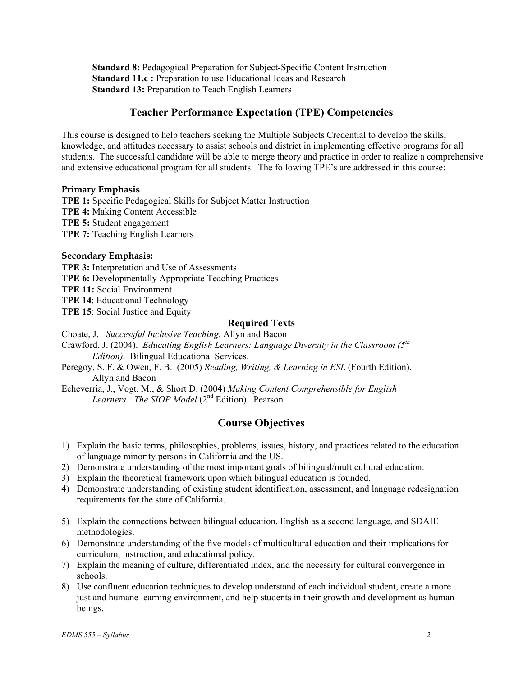**Standard 8:** Pedagogical Preparation for Subject-Specific Content Instruction **Standard 11.c :** Preparation to use Educational Ideas and Research **Standard 13:** Preparation to Teach English Learners

## **Teacher Performance Expectation (TPE) Competencies**

This course is designed to help teachers seeking the Multiple Subjects Credential to develop the skills, knowledge, and attitudes necessary to assist schools and district in implementing effective programs for all students. The successful candidate will be able to merge theory and practice in order to realize a comprehensive and extensive educational program for all students. The following TPE's are addressed in this course:

#### **Primary Emphasis**

**TPE 1:** Specific Pedagogical Skills for Subject Matter Instruction **TPE 4:** Making Content Accessible **TPE 5:** Student engagement **TPE 7:** Teaching English Learners

#### **Secondary Emphasis:**

**TPE 3:** Interpretation and Use of Assessments **TPE 6:** Developmentally Appropriate Teaching Practices **TPE 11:** Social Environment **TPE 14**: Educational Technology **TPE 15**: Social Justice and Equity

#### **Required Texts**

Choate, J. *Successful Inclusive Teaching*. Allyn and Bacon Crawford, J. (2004). *Educating English Learners: Language Diversity in the Classroom (5th Edition).* Bilingual Educational Services.

- Peregoy, S. F. & Owen, F. B. (2005) *Reading, Writing, & Learning in ESL* (Fourth Edition). Allyn and Bacon
- Echeverria, J., Vogt, M., & Short D. (2004) *Making Content Comprehensible for English*  Learners: The SIOP Model (2<sup>nd</sup> Edition). Pearson

## **Course Objectives**

- 1) Explain the basic terms, philosophies, problems, issues, history, and practices related to the education of language minority persons in California and the US.
- 2) Demonstrate understanding of the most important goals of bilingual/multicultural education.
- 3) Explain the theoretical framework upon which bilingual education is founded.
- 4) Demonstrate understanding of existing student identification, assessment, and language redesignation requirements for the state of California.
- 5) Explain the connections between bilingual education, English as a second language, and SDAIE methodologies.
- 6) Demonstrate understanding of the five models of multicultural education and their implications for curriculum, instruction, and educational policy.
- 7) Explain the meaning of culture, differentiated index, and the necessity for cultural convergence in schools.
- 8) Use confluent education techniques to develop understand of each individual student, create a more just and humane learning environment, and help students in their growth and development as human beings.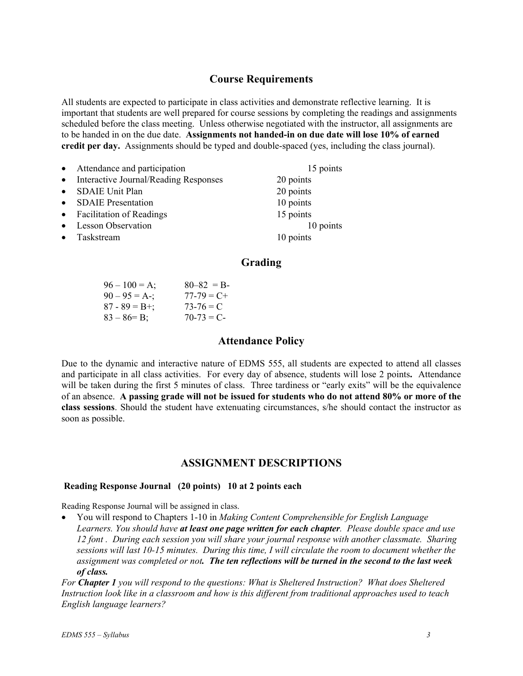## **Course Requirements**

All students are expected to participate in class activities and demonstrate reflective learning. It is important that students are well prepared for course sessions by completing the readings and assignments scheduled before the class meeting. Unless otherwise negotiated with the instructor, all assignments are to be handed in on the due date. **Assignments not handed-in on due date will lose 10% of earned credit per day.** Assignments should be typed and double-spaced (yes, including the class journal).

| $\bullet$ | Attendance and participation          | 15 points |
|-----------|---------------------------------------|-----------|
| $\bullet$ | Interactive Journal/Reading Responses | 20 points |
| $\bullet$ | <b>SDAIE Unit Plan</b>                | 20 points |
| $\bullet$ | <b>SDAIE</b> Presentation             | 10 points |
|           | • Facilitation of Readings            | 15 points |
| $\bullet$ | <b>Lesson Observation</b>             | 10 points |
| $\bullet$ | Taskstream                            | 10 points |

## **Grading**

| $96 - 100 = A$ ;  | $80 - 82 = B$   |
|-------------------|-----------------|
| $90 - 95 = A -$ ; | $77 - 79 = C +$ |
| $87 - 89 = B +$ ; | $73-76 = C$     |
| $83 - 86 = B$ ;   | $70-73 = C$     |

### **Attendance Policy**

Due to the dynamic and interactive nature of EDMS 555, all students are expected to attend all classes and participate in all class activities. For every day of absence, students will lose 2 points**.** Attendance will be taken during the first 5 minutes of class. Three tardiness or "early exits" will be the equivalence of an absence. **A passing grade will not be issued for students who do not attend 80% or more of the class sessions**. Should the student have extenuating circumstances, s/he should contact the instructor as soon as possible.

### **ASSIGNMENT DESCRIPTIONS**

#### **Reading Response Journal (20 points) 10 at 2 points each**

Reading Response Journal will be assigned in class.

• You will respond to Chapters 1-10 in *Making Content Comprehensible for English Language Learners. You should have at least one page written for each chapter. Please double space and use 12 font . During each session you will share your journal response with another classmate. Sharing sessions will last 10-15 minutes. During this time, I will circulate the room to document whether the assignment was completed or not. The ten reflections will be turned in the second to the last week of class.* 

*For Chapter 1 you will respond to the questions: What is Sheltered Instruction? What does Sheltered Instruction look like in a classroom and how is this different from traditional approaches used to teach English language learners?*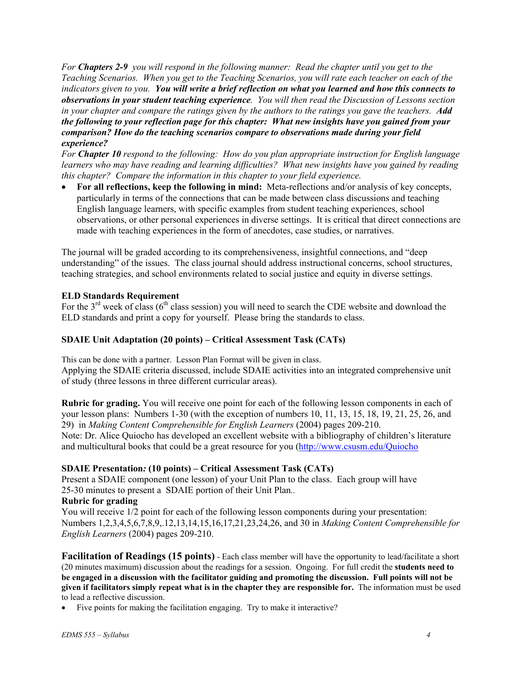*For Chapters 2-9 you will respond in the following manner: Read the chapter until you get to the Teaching Scenarios. When you get to the Teaching Scenarios, you will rate each teacher on each of the indicators given to you. You will write a brief reflection on what you learned and how this connects to observations in your student teaching experience. You will then read the Discussion of Lessons section in your chapter and compare the ratings given by the authors to the ratings you gave the teachers. Add the following to your reflection page for this chapter: What new insights have you gained from your comparison? How do the teaching scenarios compare to observations made during your field experience?* 

*For Chapter 10 respond to the following: How do you plan appropriate instruction for English language learners who may have reading and learning difficulties? What new insights have you gained by reading this chapter? Compare the information in this chapter to your field experience.* 

• **For all reflections, keep the following in mind:** Meta-reflections and/or analysis of key concepts, particularly in terms of the connections that can be made between class discussions and teaching English language learners, with specific examples from student teaching experiences, school observations, or other personal experiences in diverse settings. It is critical that direct connections are made with teaching experiences in the form of anecdotes, case studies, or narratives.

The journal will be graded according to its comprehensiveness, insightful connections, and "deep understanding" of the issues. The class journal should address instructional concerns, school structures, teaching strategies, and school environments related to social justice and equity in diverse settings.

#### **ELD Standards Requirement**

For the  $3<sup>rd</sup>$  week of class (6<sup>th</sup> class session) you will need to search the CDE website and download the ELD standards and print a copy for yourself. Please bring the standards to class.

#### **SDAIE Unit Adaptation (20 points) – Critical Assessment Task (CATs)**

This can be done with a partner. Lesson Plan Format will be given in class. Applying the SDAIE criteria discussed, include SDAIE activities into an integrated comprehensive unit of study (three lessons in three different curricular areas).

**Rubric for grading.** You will receive one point for each of the following lesson components in each of your lesson plans: Numbers 1-30 (with the exception of numbers 10, 11, 13, 15, 18, 19, 21, 25, 26, and 29) in *Making Content Comprehensible for English Learners* (2004) pages 209-210. Note: Dr. Alice Quiocho has developed an excellent website with a bibliography of children's literature and multicultural books that could be a great resource for you (http://www.csusm.edu/Quiocho

#### **SDAIE Presentation***:* **(10 points) – Critical Assessment Task (CATs)**

Present a SDAIE component (one lesson) of your Unit Plan to the class. Each group will have 25-30 minutes to present a SDAIE portion of their Unit Plan*..*

#### **Rubric for grading**

You will receive  $1/2$  point for each of the following lesson components during your presentation: Numbers 1,2,3,4,5,6,7,8,9,.12,13,14,15,16,17,21,23,24,26, and 30 in *Making Content Comprehensible for English Learners* (2004) pages 209-210.

**Facilitation of Readings (15 points)** - Each class member will have the opportunity to lead/facilitate a short (20 minutes maximum) discussion about the readings for a session. Ongoing. For full credit the **students need to be engaged in a discussion with the facilitator guiding and promoting the discussion. Full points will not be given if facilitators simply repeat what is in the chapter they are responsible for.** The information must be used to lead a reflective discussion.

Five points for making the facilitation engaging. Try to make it interactive?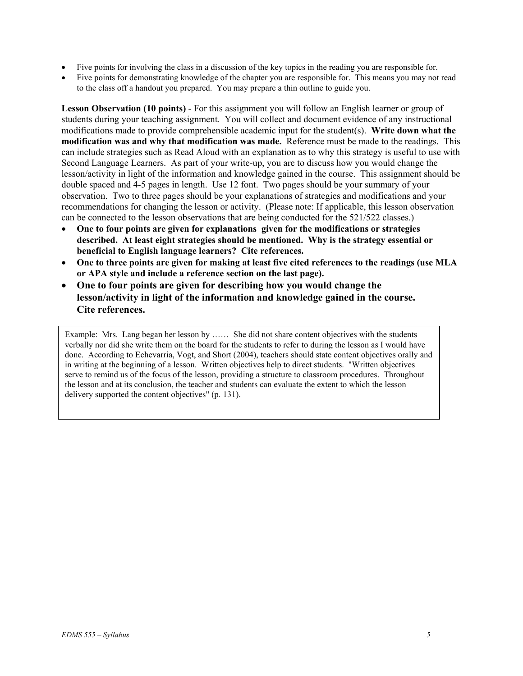- Five points for involving the class in a discussion of the key topics in the reading you are responsible for.
- Five points for demonstrating knowledge of the chapter you are responsible for. This means you may not read to the class off a handout you prepared. You may prepare a thin outline to guide you.

**Lesson Observation (10 points)** *-* For this assignment you will follow an English learner or group of students during your teaching assignment. You will collect and document evidence of any instructional modifications made to provide comprehensible academic input for the student(s). **Write down what the modification was and why that modification was made.** Reference must be made to the readings. This can include strategies such as Read Aloud with an explanation as to why this strategy is useful to use with Second Language Learners. As part of your write-up, you are to discuss how you would change the lesson/activity in light of the information and knowledge gained in the course. This assignment should be double spaced and 4-5 pages in length. Use 12 font. Two pages should be your summary of your observation. Two to three pages should be your explanations of strategies and modifications and your recommendations for changing the lesson or activity. (Please note: If applicable, this lesson observation can be connected to the lesson observations that are being conducted for the 521/522 classes.)

- **One to four points are given for explanations given for the modifications or strategies described. At least eight strategies should be mentioned. Why is the strategy essential or beneficial to English language learners? Cite references.**
- **One to three points are given for making at least five cited references to the readings (use MLA or APA style and include a reference section on the last page).**
- **One to four points are given for describing how you would change the lesson/activity in light of the information and knowledge gained in the course. Cite references.**

Example: Mrs. Lang began her lesson by …… She did not share content objectives with the students verbally nor did she write them on the board for the students to refer to during the lesson as I would have done. According to Echevarria, Vogt, and Short (2004), teachers should state content objectives orally and in writing at the beginning of a lesson. Written objectives help to direct students. "Written objectives serve to remind us of the focus of the lesson, providing a structure to classroom procedures. Throughout the lesson and at its conclusion, the teacher and students can evaluate the extent to which the lesson delivery supported the content objectives" (p. 131).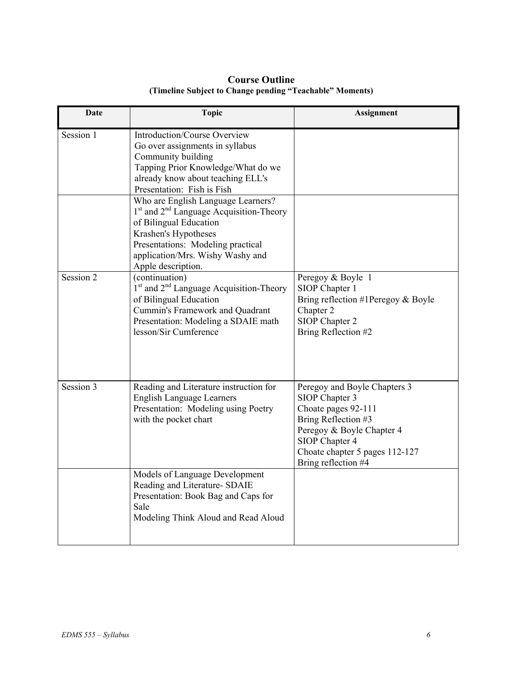| Date      | <b>Topic</b>                                                                                                                                                                                                                                           | <b>Assignment</b>                                                                                                                                                                                    |
|-----------|--------------------------------------------------------------------------------------------------------------------------------------------------------------------------------------------------------------------------------------------------------|------------------------------------------------------------------------------------------------------------------------------------------------------------------------------------------------------|
| Session 1 | Introduction/Course Overview<br>Go over assignments in syllabus<br>Community building<br>Tapping Prior Knowledge/What do we<br>already know about teaching ELL's<br>Presentation: Fish is Fish                                                         |                                                                                                                                                                                                      |
|           | Who are English Language Learners?<br>1 <sup>st</sup> and 2 <sup>nd</sup> Language Acquisition-Theory<br>of Bilingual Education<br>Krashen's Hypotheses<br>Presentations: Modeling practical<br>application/Mrs. Wishy Washy and<br>Apple description. |                                                                                                                                                                                                      |
| Session 2 | (continuation)<br>$1st$ and $2nd$ Language Acquisition-Theory<br>of Bilingual Education<br>Cummin's Framework and Quadrant<br>Presentation: Modeling a SDAIE math<br>lesson/Sir Cumference                                                             | Peregoy & Boyle 1<br>SIOP Chapter 1<br>Bring reflection #1Peregoy $&$ Boyle<br>Chapter 2<br>SIOP Chapter 2<br>Bring Reflection #2                                                                    |
| Session 3 | Reading and Literature instruction for<br><b>English Language Learners</b><br>Presentation: Modeling using Poetry<br>with the pocket chart                                                                                                             | Peregoy and Boyle Chapters 3<br>SIOP Chapter 3<br>Choate pages 92-111<br>Bring Reflection #3<br>Peregoy & Boyle Chapter 4<br>SIOP Chapter 4<br>Choate chapter 5 pages 112-127<br>Bring reflection #4 |
|           | Models of Language Development<br>Reading and Literature- SDAIE<br>Presentation: Book Bag and Caps for<br>Sale<br>Modeling Think Aloud and Read Aloud                                                                                                  |                                                                                                                                                                                                      |

## **Course Outline (Timeline Subject to Change pending "Teachable" Moments)**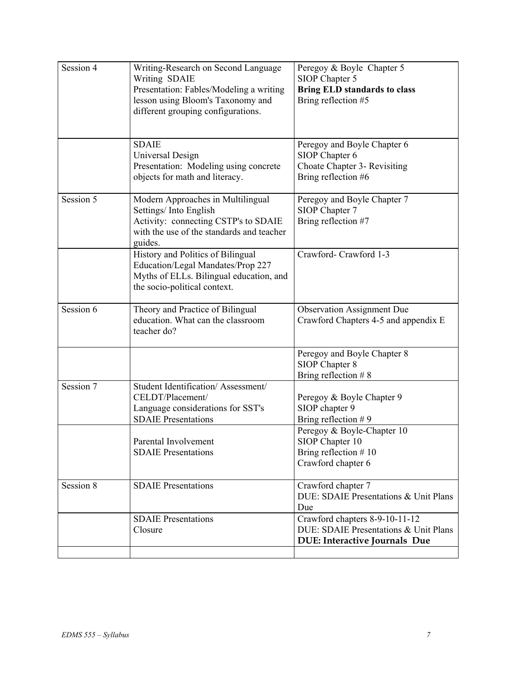| Session 4 | Writing-Research on Second Language<br>Writing SDAIE<br>Presentation: Fables/Modeling a writing<br>lesson using Bloom's Taxonomy and<br>different grouping configurations. | Peregoy & Boyle Chapter 5<br>SIOP Chapter 5<br><b>Bring ELD standards to class</b><br>Bring reflection #5       |
|-----------|----------------------------------------------------------------------------------------------------------------------------------------------------------------------------|-----------------------------------------------------------------------------------------------------------------|
|           | <b>SDAIE</b><br>Universal Design<br>Presentation: Modeling using concrete<br>objects for math and literacy.                                                                | Peregoy and Boyle Chapter 6<br>SIOP Chapter 6<br>Choate Chapter 3- Revisiting<br>Bring reflection #6            |
| Session 5 | Modern Approaches in Multilingual<br>Settings/Into English<br>Activity: connecting CSTP's to SDAIE<br>with the use of the standards and teacher<br>guides.                 | Peregoy and Boyle Chapter 7<br>SIOP Chapter 7<br>Bring reflection #7                                            |
|           | History and Politics of Bilingual<br>Education/Legal Mandates/Prop 227<br>Myths of ELLs. Bilingual education, and<br>the socio-political context.                          | Crawford-Crawford 1-3                                                                                           |
| Session 6 | Theory and Practice of Bilingual<br>education. What can the classroom<br>teacher do?                                                                                       | <b>Observation Assignment Due</b><br>Crawford Chapters 4-5 and appendix E                                       |
|           |                                                                                                                                                                            | Peregoy and Boyle Chapter 8<br>SIOP Chapter 8<br>Bring reflection $# 8$                                         |
| Session 7 | Student Identification/Assessment/<br>CELDT/Placement/<br>Language considerations for SST's<br><b>SDAIE</b> Presentations                                                  | Peregoy & Boyle Chapter 9<br>SIOP chapter 9<br>Bring reflection #9                                              |
|           | Parental Involvement<br><b>SDAIE</b> Presentations                                                                                                                         | Peregoy & Boyle-Chapter 10<br>SIOP Chapter 10<br>Bring reflection #10<br>Crawford chapter 6                     |
| Session 8 | <b>SDAIE</b> Presentations                                                                                                                                                 | Crawford chapter 7<br>DUE: SDAIE Presentations & Unit Plans<br>Due                                              |
|           | <b>SDAIE</b> Presentations<br>Closure                                                                                                                                      | Crawford chapters 8-9-10-11-12<br>DUE: SDAIE Presentations & Unit Plans<br><b>DUE: Interactive Journals Due</b> |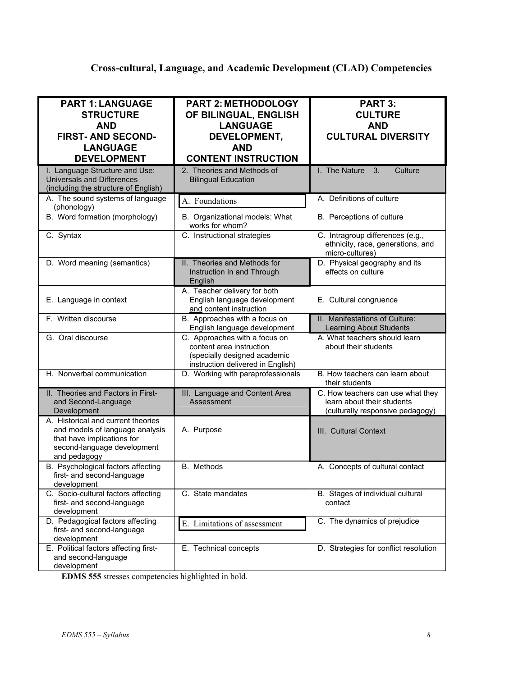# **Cross-cultural, Language, and Academic Development (CLAD) Competencies**

| <b>PART 1: LANGUAGE</b><br><b>STRUCTURE</b><br><b>AND</b><br><b>FIRST-AND SECOND-</b><br><b>LANGUAGE</b><br><b>DEVELOPMENT</b>                     | <b>PART 2: METHODOLOGY</b><br>OF BILINGUAL, ENGLISH<br><b>LANGUAGE</b><br>DEVELOPMENT,<br><b>AND</b><br><b>CONTENT INSTRUCTION</b> | PART 3:<br><b>CULTURE</b><br><b>AND</b><br><b>CULTURAL DIVERSITY</b>                                |
|----------------------------------------------------------------------------------------------------------------------------------------------------|------------------------------------------------------------------------------------------------------------------------------------|-----------------------------------------------------------------------------------------------------|
| I. Language Structure and Use:<br><b>Universals and Differences</b><br>(including the structure of English)                                        | 2. Theories and Methods of<br><b>Bilingual Education</b>                                                                           | I. The Nature<br>3.<br>Culture                                                                      |
| A. The sound systems of language<br>(phonology)                                                                                                    | A. Foundations                                                                                                                     | A. Definitions of culture                                                                           |
| B. Word formation (morphology)                                                                                                                     | B. Organizational models: What<br>works for whom?                                                                                  | B. Perceptions of culture                                                                           |
| C. Syntax                                                                                                                                          | C. Instructional strategies                                                                                                        | C. Intragroup differences (e.g.,<br>ethnicity, race, generations, and<br>micro-cultures)            |
| D. Word meaning (semantics)                                                                                                                        | II. Theories and Methods for<br>Instruction In and Through<br>English                                                              | D. Physical geography and its<br>effects on culture                                                 |
| E. Language in context                                                                                                                             | A. Teacher delivery for both<br>English language development<br>and content instruction                                            | E. Cultural congruence                                                                              |
| F. Written discourse                                                                                                                               | B. Approaches with a focus on<br>English language development                                                                      | II. Manifestations of Culture:<br>Learning About Students                                           |
| G. Oral discourse                                                                                                                                  | C. Approaches with a focus on<br>content area instruction<br>(specially designed academic<br>instruction delivered in English)     | A. What teachers should learn<br>about their students                                               |
| H. Nonverbal communication                                                                                                                         | D. Working with paraprofessionals                                                                                                  | B. How teachers can learn about<br>their students                                                   |
| II. Theories and Factors in First-<br>and Second-Language<br>Development                                                                           | III. Language and Content Area<br>Assessment                                                                                       | C. How teachers can use what they<br>learn about their students<br>(culturally responsive pedagogy) |
| A. Historical and current theories<br>and models of language analysis<br>that have implications for<br>second-language development<br>and pedagogy | A. Purpose                                                                                                                         | III. Cultural Context                                                                               |
| B. Psychological factors affecting<br>first- and second-language<br>development                                                                    | B. Methods                                                                                                                         | A. Concepts of cultural contact                                                                     |
| C. Socio-cultural factors affecting<br>first- and second-language<br>development                                                                   | C. State mandates                                                                                                                  | B. Stages of individual cultural<br>contact                                                         |
| D. Pedagogical factors affecting<br>first- and second-language<br>development                                                                      | E. Limitations of assessment                                                                                                       | C. The dynamics of prejudice                                                                        |
| E. Political factors affecting first-<br>and second-language<br>development                                                                        | E. Technical concepts                                                                                                              | D. Strategies for conflict resolution                                                               |

**EDMS 555** stresses competencies highlighted in bold.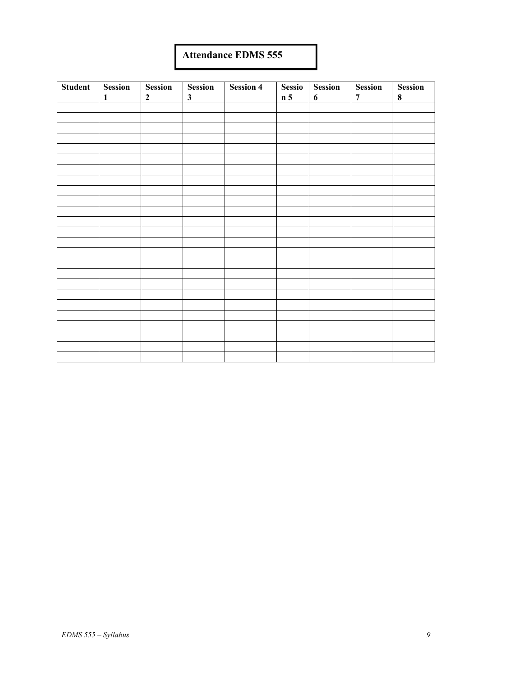# **Attendance EDMS 555**

| <b>Student</b> | <b>Session</b> | <b>Session</b> | <b>Session</b> | <b>Session 4</b> | Sessio         | <b>Session</b> | <b>Session</b> | Session   |
|----------------|----------------|----------------|----------------|------------------|----------------|----------------|----------------|-----------|
|                | $\mathbf{1}$   | $\mathbf{2}$   | $\mathbf{3}$   |                  | n <sub>5</sub> | 6              | $\overline{7}$ | $\pmb{8}$ |
|                |                |                |                |                  |                |                |                |           |
|                |                |                |                |                  |                |                |                |           |
|                |                |                |                |                  |                |                |                |           |
|                |                |                |                |                  |                |                |                |           |
|                |                |                |                |                  |                |                |                |           |
|                |                |                |                |                  |                |                |                |           |
|                |                |                |                |                  |                |                |                |           |
|                |                |                |                |                  |                |                |                |           |
|                |                |                |                |                  |                |                |                |           |
|                |                |                |                |                  |                |                |                |           |
|                |                |                |                |                  |                |                |                |           |
|                |                |                |                |                  |                |                |                |           |
|                |                |                |                |                  |                |                |                |           |
|                |                |                |                |                  |                |                |                |           |
|                |                |                |                |                  |                |                |                |           |
|                |                |                |                |                  |                |                |                |           |
|                |                |                |                |                  |                |                |                |           |
|                |                |                |                |                  |                |                |                |           |
|                |                |                |                |                  |                |                |                |           |
|                |                |                |                |                  |                |                |                |           |
|                |                |                |                |                  |                |                |                |           |
|                |                |                |                |                  |                |                |                |           |
|                |                |                |                |                  |                |                |                |           |
|                |                |                |                |                  |                |                |                |           |
|                |                |                |                |                  |                |                |                |           |
|                |                |                |                |                  |                |                |                |           |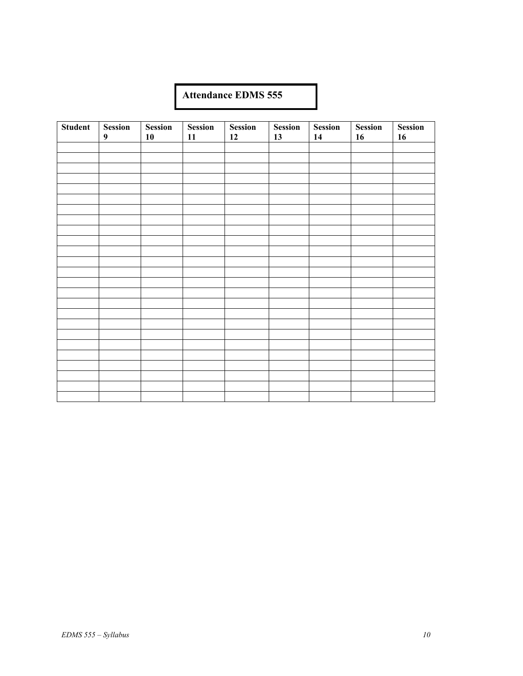# **Attendance EDMS 555**

| <b>Student</b> | <b>Session</b>   | <b>Session</b> | <b>Session</b> | <b>Session</b> | <b>Session</b> | <b>Session</b> | <b>Session</b> | <b>Session</b> |
|----------------|------------------|----------------|----------------|----------------|----------------|----------------|----------------|----------------|
|                | $\boldsymbol{9}$ | 10             | 11             | 12             | 13             | 14             | 16             | 16             |
|                |                  |                |                |                |                |                |                |                |
|                |                  |                |                |                |                |                |                |                |
|                |                  |                |                |                |                |                |                |                |
|                |                  |                |                |                |                |                |                |                |
|                |                  |                |                |                |                |                |                |                |
|                |                  |                |                |                |                |                |                |                |
|                |                  |                |                |                |                |                |                |                |
|                |                  |                |                |                |                |                |                |                |
|                |                  |                |                |                |                |                |                |                |
|                |                  |                |                |                |                |                |                |                |
|                |                  |                |                |                |                |                |                |                |
|                |                  |                |                |                |                |                |                |                |
|                |                  |                |                |                |                |                |                |                |
|                |                  |                |                |                |                |                |                |                |
|                |                  |                |                |                |                |                |                |                |
|                |                  |                |                |                |                |                |                |                |
|                |                  |                |                |                |                |                |                |                |
|                |                  |                |                |                |                |                |                |                |
|                |                  |                |                |                |                |                |                |                |
|                |                  |                |                |                |                |                |                |                |
|                |                  |                |                |                |                |                |                |                |
|                |                  |                |                |                |                |                |                |                |
|                |                  |                |                |                |                |                |                |                |
|                |                  |                |                |                |                |                |                |                |
|                |                  |                |                |                |                |                |                |                |
|                |                  |                |                |                |                |                |                |                |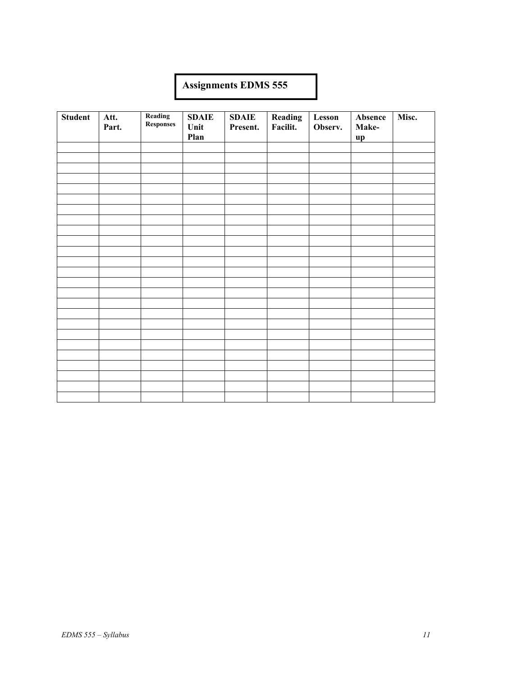# **Assignments EDMS 555**

| <b>Student</b> | Att.<br>Part. | Reading<br>Responses | <b>SDAIE</b><br>Unit<br>Plan | <b>SDAIE</b><br>Present. | Reading<br>Facilit. | Lesson<br>Observ. | Absence<br>Make-<br>up | Misc. |
|----------------|---------------|----------------------|------------------------------|--------------------------|---------------------|-------------------|------------------------|-------|
|                |               |                      |                              |                          |                     |                   |                        |       |
|                |               |                      |                              |                          |                     |                   |                        |       |
|                |               |                      |                              |                          |                     |                   |                        |       |
|                |               |                      |                              |                          |                     |                   |                        |       |
|                |               |                      |                              |                          |                     |                   |                        |       |
|                |               |                      |                              |                          |                     |                   |                        |       |
|                |               |                      |                              |                          |                     |                   |                        |       |
|                |               |                      |                              |                          |                     |                   |                        |       |
|                |               |                      |                              |                          |                     |                   |                        |       |
|                |               |                      |                              |                          |                     |                   |                        |       |
|                |               |                      |                              |                          |                     |                   |                        |       |
|                |               |                      |                              |                          |                     |                   |                        |       |
|                |               |                      |                              |                          |                     |                   |                        |       |
|                |               |                      |                              |                          |                     |                   |                        |       |
|                |               |                      |                              |                          |                     |                   |                        |       |
|                |               |                      |                              |                          |                     |                   |                        |       |
|                |               |                      |                              |                          |                     |                   |                        |       |
|                |               |                      |                              |                          |                     |                   |                        |       |
|                |               |                      |                              |                          |                     |                   |                        |       |
|                |               |                      |                              |                          |                     |                   |                        |       |
|                |               |                      |                              |                          |                     |                   |                        |       |
|                |               |                      |                              |                          |                     |                   |                        |       |
|                |               |                      |                              |                          |                     |                   |                        |       |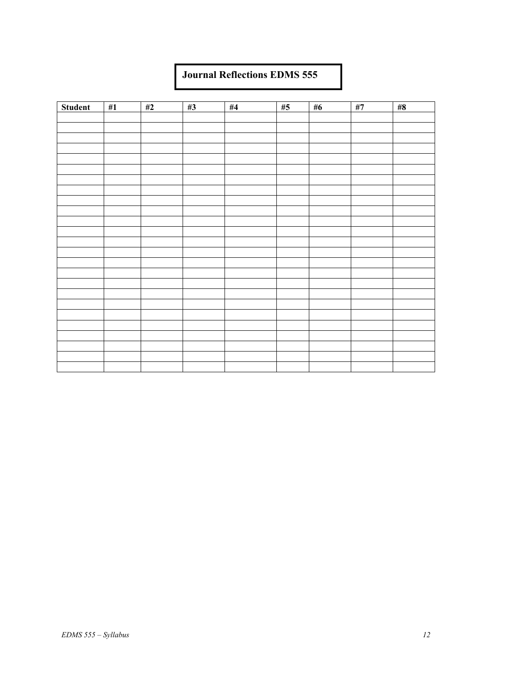## **Journal Reflections EDMS 555**

| Student | #1 | #2 | #3 | $\#4$ | #5 | $\#6$ | $\#7$ | #8 |
|---------|----|----|----|-------|----|-------|-------|----|
|         |    |    |    |       |    |       |       |    |
|         |    |    |    |       |    |       |       |    |
|         |    |    |    |       |    |       |       |    |
|         |    |    |    |       |    |       |       |    |
|         |    |    |    |       |    |       |       |    |
|         |    |    |    |       |    |       |       |    |
|         |    |    |    |       |    |       |       |    |
|         |    |    |    |       |    |       |       |    |
|         |    |    |    |       |    |       |       |    |
|         |    |    |    |       |    |       |       |    |
|         |    |    |    |       |    |       |       |    |
|         |    |    |    |       |    |       |       |    |
|         |    |    |    |       |    |       |       |    |
|         |    |    |    |       |    |       |       |    |
|         |    |    |    |       |    |       |       |    |
|         |    |    |    |       |    |       |       |    |
|         |    |    |    |       |    |       |       |    |
|         |    |    |    |       |    |       |       |    |
|         |    |    |    |       |    |       |       |    |
|         |    |    |    |       |    |       |       |    |
|         |    |    |    |       |    |       |       |    |
|         |    |    |    |       |    |       |       |    |
|         |    |    |    |       |    |       |       |    |
|         |    |    |    |       |    |       |       |    |
|         |    |    |    |       |    |       |       |    |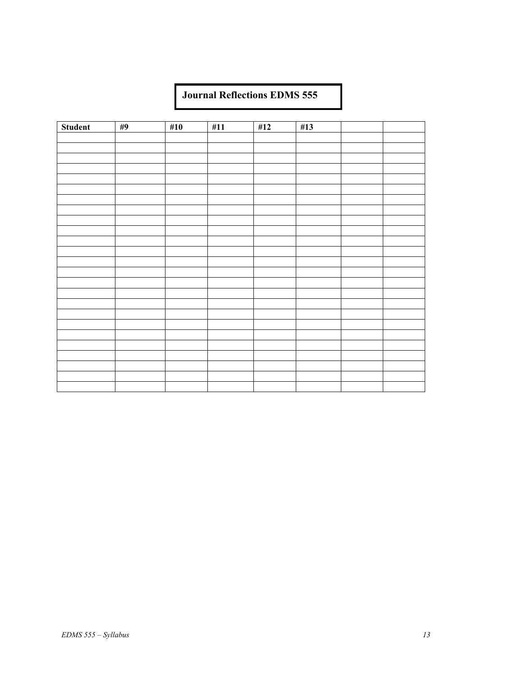# **Journal Reflections EDMS 555**

| Student | #9 | #10 | #11 | #12 | #13 |  |
|---------|----|-----|-----|-----|-----|--|
|         |    |     |     |     |     |  |
|         |    |     |     |     |     |  |
|         |    |     |     |     |     |  |
|         |    |     |     |     |     |  |
|         |    |     |     |     |     |  |
|         |    |     |     |     |     |  |
|         |    |     |     |     |     |  |
|         |    |     |     |     |     |  |
|         |    |     |     |     |     |  |
|         |    |     |     |     |     |  |
|         |    |     |     |     |     |  |
|         |    |     |     |     |     |  |
|         |    |     |     |     |     |  |
|         |    |     |     |     |     |  |
|         |    |     |     |     |     |  |
|         |    |     |     |     |     |  |
|         |    |     |     |     |     |  |
|         |    |     |     |     |     |  |
|         |    |     |     |     |     |  |
|         |    |     |     |     |     |  |
|         |    |     |     |     |     |  |
|         |    |     |     |     |     |  |
|         |    |     |     |     |     |  |
|         |    |     |     |     |     |  |
|         |    |     |     |     |     |  |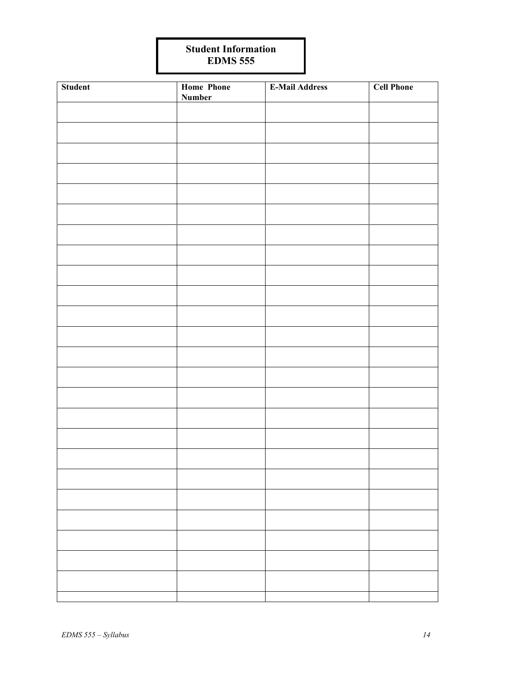# **Student Information EDMS 555**

| Student | <b>Home Phone</b><br><b>Number</b> | <b>E-Mail Address</b> | <b>Cell Phone</b> |
|---------|------------------------------------|-----------------------|-------------------|
|         |                                    |                       |                   |
|         |                                    |                       |                   |
|         |                                    |                       |                   |
|         |                                    |                       |                   |
|         |                                    |                       |                   |
|         |                                    |                       |                   |
|         |                                    |                       |                   |
|         |                                    |                       |                   |
|         |                                    |                       |                   |
|         |                                    |                       |                   |
|         |                                    |                       |                   |
|         |                                    |                       |                   |
|         |                                    |                       |                   |
|         |                                    |                       |                   |
|         |                                    |                       |                   |
|         |                                    |                       |                   |
|         |                                    |                       |                   |
|         |                                    |                       |                   |
|         |                                    |                       |                   |
|         |                                    |                       |                   |
|         |                                    |                       |                   |
|         |                                    |                       |                   |
|         |                                    |                       |                   |
|         |                                    |                       |                   |
|         |                                    |                       |                   |